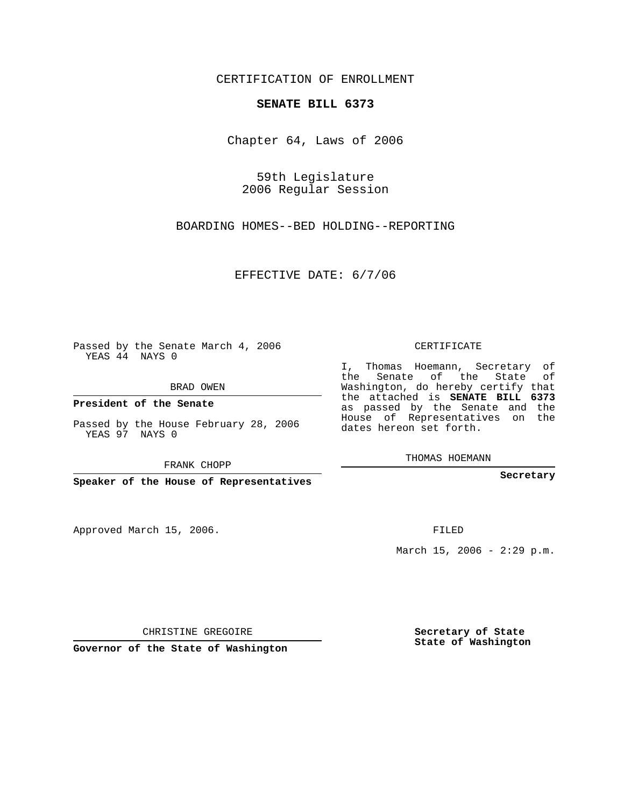CERTIFICATION OF ENROLLMENT

## **SENATE BILL 6373**

Chapter 64, Laws of 2006

59th Legislature 2006 Regular Session

BOARDING HOMES--BED HOLDING--REPORTING

EFFECTIVE DATE: 6/7/06

Passed by the Senate March 4, 2006 YEAS 44 NAYS 0

BRAD OWEN

**President of the Senate**

Passed by the House February 28, 2006 YEAS 97 NAYS 0

FRANK CHOPP

**Speaker of the House of Representatives**

Approved March 15, 2006.

CERTIFICATE

I, Thomas Hoemann, Secretary of the Senate of the State of Washington, do hereby certify that the attached is **SENATE BILL 6373** as passed by the Senate and the House of Representatives on the dates hereon set forth.

THOMAS HOEMANN

**Secretary**

FILED

March 15, 2006 -  $2:29$  p.m.

CHRISTINE GREGOIRE

**Governor of the State of Washington**

**Secretary of State State of Washington**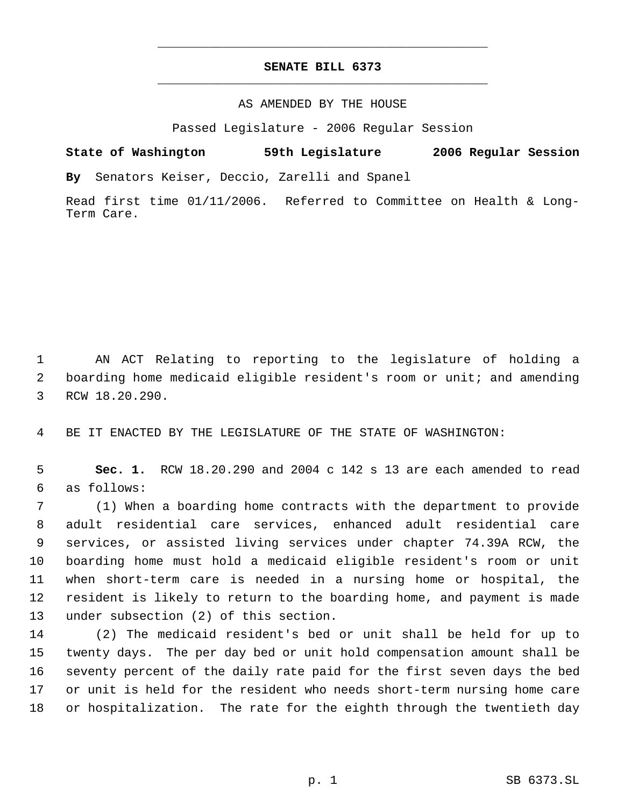## **SENATE BILL 6373** \_\_\_\_\_\_\_\_\_\_\_\_\_\_\_\_\_\_\_\_\_\_\_\_\_\_\_\_\_\_\_\_\_\_\_\_\_\_\_\_\_\_\_\_\_

\_\_\_\_\_\_\_\_\_\_\_\_\_\_\_\_\_\_\_\_\_\_\_\_\_\_\_\_\_\_\_\_\_\_\_\_\_\_\_\_\_\_\_\_\_

## AS AMENDED BY THE HOUSE

Passed Legislature - 2006 Regular Session

**State of Washington 59th Legislature 2006 Regular Session By** Senators Keiser, Deccio, Zarelli and Spanel

Read first time 01/11/2006. Referred to Committee on Health & Long-Term Care.

 AN ACT Relating to reporting to the legislature of holding a boarding home medicaid eligible resident's room or unit; and amending RCW 18.20.290.

BE IT ENACTED BY THE LEGISLATURE OF THE STATE OF WASHINGTON:

 **Sec. 1.** RCW 18.20.290 and 2004 c 142 s 13 are each amended to read as follows:

 (1) When a boarding home contracts with the department to provide adult residential care services, enhanced adult residential care services, or assisted living services under chapter 74.39A RCW, the boarding home must hold a medicaid eligible resident's room or unit when short-term care is needed in a nursing home or hospital, the resident is likely to return to the boarding home, and payment is made under subsection (2) of this section.

 (2) The medicaid resident's bed or unit shall be held for up to twenty days. The per day bed or unit hold compensation amount shall be seventy percent of the daily rate paid for the first seven days the bed or unit is held for the resident who needs short-term nursing home care or hospitalization. The rate for the eighth through the twentieth day